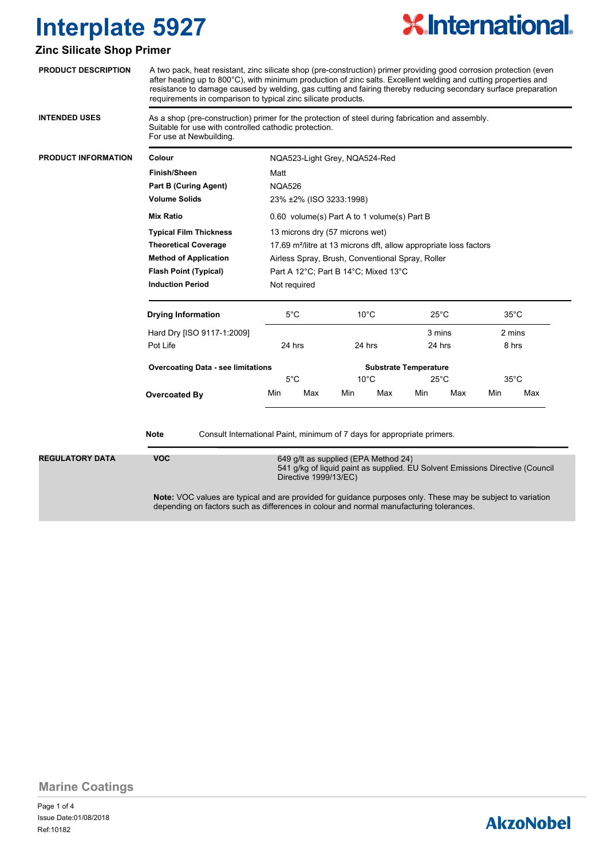

### **Zinc Silicate Shop Primer**

| <b>PRODUCT DESCRIPTION</b>                                                                                                                                                             | A two pack, heat resistant, zinc silicate shop (pre-construction) primer providing good corrosion protection (even<br>after heating up to 800°C), with minimum production of zinc salts. Excellent welding and cutting properties and<br>resistance to damage caused by welding, gas cutting and fairing thereby reducing secondary surface preparation<br>requirements in comparison to typical zinc silicate products. |                                                                                                                                                                                                                                                                                                                                                  |     |                |     |                              |     |                          |     |
|----------------------------------------------------------------------------------------------------------------------------------------------------------------------------------------|--------------------------------------------------------------------------------------------------------------------------------------------------------------------------------------------------------------------------------------------------------------------------------------------------------------------------------------------------------------------------------------------------------------------------|--------------------------------------------------------------------------------------------------------------------------------------------------------------------------------------------------------------------------------------------------------------------------------------------------------------------------------------------------|-----|----------------|-----|------------------------------|-----|--------------------------|-----|
| <b>INTENDED USES</b>                                                                                                                                                                   | As a shop (pre-construction) primer for the protection of steel during fabrication and assembly.<br>Suitable for use with controlled cathodic protection.<br>For use at Newbuilding.                                                                                                                                                                                                                                     |                                                                                                                                                                                                                                                                                                                                                  |     |                |     |                              |     |                          |     |
| <b>PRODUCT INFORMATION</b>                                                                                                                                                             | Colour                                                                                                                                                                                                                                                                                                                                                                                                                   | NQA523-Light Grey, NQA524-Red<br>Matt<br><b>NQA526</b><br>23% ±2% (ISO 3233:1998)<br>0.60 volume(s) Part A to 1 volume(s) Part B<br>13 microns dry (57 microns wet)<br>17.69 m <sup>2</sup> /litre at 13 microns dft, allow appropriate loss factors<br>Airless Spray, Brush, Conventional Spray, Roller<br>Part A 12°C; Part B 14°C; Mixed 13°C |     |                |     |                              |     |                          |     |
|                                                                                                                                                                                        | <b>Finish/Sheen</b>                                                                                                                                                                                                                                                                                                                                                                                                      |                                                                                                                                                                                                                                                                                                                                                  |     |                |     |                              |     |                          |     |
|                                                                                                                                                                                        | <b>Part B (Curing Agent)</b>                                                                                                                                                                                                                                                                                                                                                                                             |                                                                                                                                                                                                                                                                                                                                                  |     |                |     |                              |     |                          |     |
|                                                                                                                                                                                        | <b>Volume Solids</b>                                                                                                                                                                                                                                                                                                                                                                                                     |                                                                                                                                                                                                                                                                                                                                                  |     |                |     |                              |     |                          |     |
|                                                                                                                                                                                        | <b>Mix Ratio</b>                                                                                                                                                                                                                                                                                                                                                                                                         |                                                                                                                                                                                                                                                                                                                                                  |     |                |     |                              |     |                          |     |
|                                                                                                                                                                                        | <b>Typical Film Thickness</b>                                                                                                                                                                                                                                                                                                                                                                                            |                                                                                                                                                                                                                                                                                                                                                  |     |                |     |                              |     |                          |     |
|                                                                                                                                                                                        | <b>Theoretical Coverage</b>                                                                                                                                                                                                                                                                                                                                                                                              |                                                                                                                                                                                                                                                                                                                                                  |     |                |     |                              |     |                          |     |
|                                                                                                                                                                                        | <b>Method of Application</b>                                                                                                                                                                                                                                                                                                                                                                                             |                                                                                                                                                                                                                                                                                                                                                  |     |                |     |                              |     |                          |     |
|                                                                                                                                                                                        | <b>Flash Point (Typical)</b>                                                                                                                                                                                                                                                                                                                                                                                             |                                                                                                                                                                                                                                                                                                                                                  |     |                |     |                              |     |                          |     |
|                                                                                                                                                                                        | <b>Induction Period</b>                                                                                                                                                                                                                                                                                                                                                                                                  | Not required                                                                                                                                                                                                                                                                                                                                     |     |                |     |                              |     |                          |     |
|                                                                                                                                                                                        | <b>Drying Information</b>                                                                                                                                                                                                                                                                                                                                                                                                | 5°C                                                                                                                                                                                                                                                                                                                                              |     | $10^{\circ}$ C |     | $25^{\circ}$ C<br>3 mins     |     | $35^{\circ}$ C<br>2 mins |     |
|                                                                                                                                                                                        | Hard Dry [ISO 9117-1:2009]                                                                                                                                                                                                                                                                                                                                                                                               |                                                                                                                                                                                                                                                                                                                                                  |     |                |     |                              |     |                          |     |
|                                                                                                                                                                                        | Pot Life                                                                                                                                                                                                                                                                                                                                                                                                                 | 24 hrs                                                                                                                                                                                                                                                                                                                                           |     | 24 hrs         |     | 24 hrs                       |     | 8 hrs                    |     |
|                                                                                                                                                                                        | <b>Overcoating Data - see limitations</b>                                                                                                                                                                                                                                                                                                                                                                                | $5^{\circ}$ C                                                                                                                                                                                                                                                                                                                                    |     |                |     | <b>Substrate Temperature</b> |     |                          |     |
|                                                                                                                                                                                        |                                                                                                                                                                                                                                                                                                                                                                                                                          |                                                                                                                                                                                                                                                                                                                                                  |     | $10^{\circ}$ C |     | $25^{\circ}$ C               |     | $35^{\circ}$ C           |     |
|                                                                                                                                                                                        | Overcoated By                                                                                                                                                                                                                                                                                                                                                                                                            | Min                                                                                                                                                                                                                                                                                                                                              | Max | Min            | Max | Min                          | Max | Min                      | Max |
|                                                                                                                                                                                        | Note<br>Consult International Paint, minimum of 7 days for appropriate primers.                                                                                                                                                                                                                                                                                                                                          |                                                                                                                                                                                                                                                                                                                                                  |     |                |     |                              |     |                          |     |
| <b>REGULATORY DATA</b><br><b>VOC</b><br>649 g/lt as supplied (EPA Method 24)<br>541 g/kg of liquid paint as supplied. EU Solvent Emissions Directive (Council<br>Directive 1999/13/EC) |                                                                                                                                                                                                                                                                                                                                                                                                                          |                                                                                                                                                                                                                                                                                                                                                  |     |                |     |                              |     |                          |     |
|                                                                                                                                                                                        | Note: VOC values are typical and are provided for guidance purposes only. These may be subject to variation<br>depending on factors such as differences in colour and normal manufacturing tolerances.                                                                                                                                                                                                                   |                                                                                                                                                                                                                                                                                                                                                  |     |                |     |                              |     |                          |     |

**Marine Coatings**

Page 1 of 4 Ref:10182 Issue Date:01/08/2018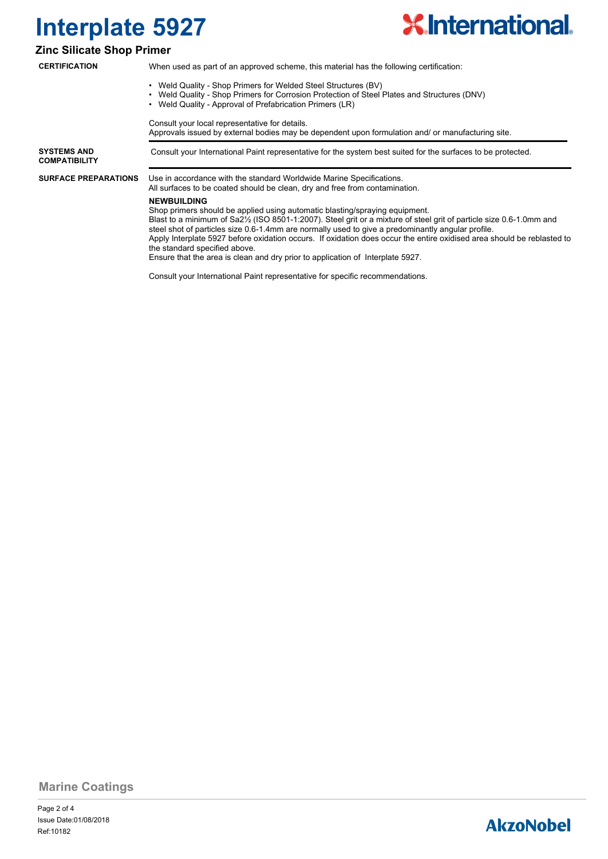

### **Zinc Silicate Shop Primer**

| <b>CERTIFICATION</b>                       | When used as part of an approved scheme, this material has the following certification:                                                                                                                                                                                                                                                                                                                                                                                                                                                                                                              |  |  |  |  |
|--------------------------------------------|------------------------------------------------------------------------------------------------------------------------------------------------------------------------------------------------------------------------------------------------------------------------------------------------------------------------------------------------------------------------------------------------------------------------------------------------------------------------------------------------------------------------------------------------------------------------------------------------------|--|--|--|--|
|                                            | • Weld Quality - Shop Primers for Welded Steel Structures (BV)<br>Weld Quality - Shop Primers for Corrosion Protection of Steel Plates and Structures (DNV)<br>$\bullet$<br>• Weld Quality - Approval of Prefabrication Primers (LR)                                                                                                                                                                                                                                                                                                                                                                 |  |  |  |  |
|                                            | Consult your local representative for details.<br>Approvals issued by external bodies may be dependent upon formulation and/ or manufacturing site.                                                                                                                                                                                                                                                                                                                                                                                                                                                  |  |  |  |  |
| <b>SYSTEMS AND</b><br><b>COMPATIBILITY</b> | Consult your International Paint representative for the system best suited for the surfaces to be protected.                                                                                                                                                                                                                                                                                                                                                                                                                                                                                         |  |  |  |  |
| <b>SURFACE PREPARATIONS</b>                | Use in accordance with the standard Worldwide Marine Specifications.<br>All surfaces to be coated should be clean, dry and free from contamination.                                                                                                                                                                                                                                                                                                                                                                                                                                                  |  |  |  |  |
|                                            | <b>NEWBUILDING</b><br>Shop primers should be applied using automatic blasting/spraying equipment.<br>Blast to a minimum of Sa2 <sup>1</sup> / <sub>2</sub> (ISO 8501-1:2007). Steel grit or a mixture of steel grit of particle size 0.6-1.0mm and<br>steel shot of particles size 0.6-1.4mm are normally used to give a predominantly angular profile.<br>Apply Interplate 5927 before oxidation occurs. If oxidation does occur the entire oxidised area should be reblasted to<br>the standard specified above.<br>Ensure that the area is clean and dry prior to application of Interplate 5927. |  |  |  |  |
|                                            | Consult your International Paint representative for specific recommendations.                                                                                                                                                                                                                                                                                                                                                                                                                                                                                                                        |  |  |  |  |

**Marine Coatings**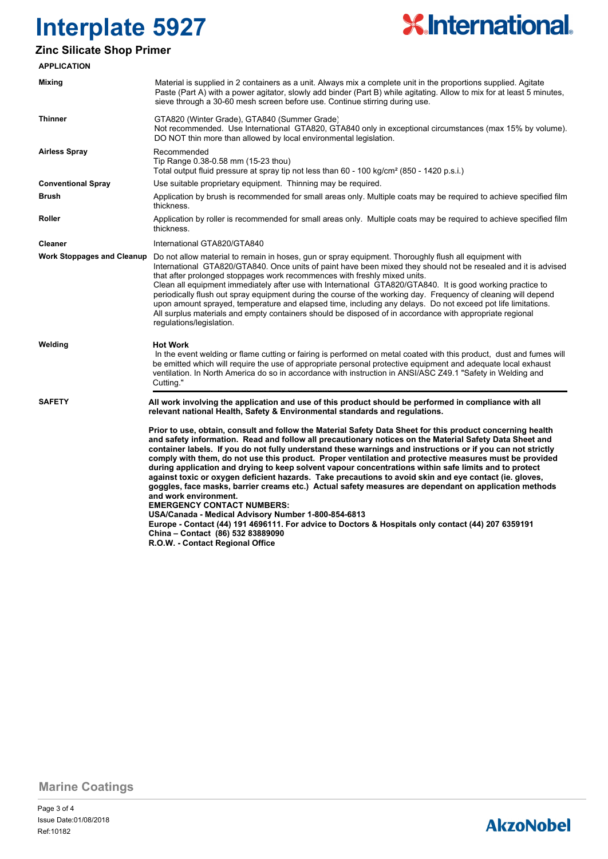

### **Zinc Silicate Shop Primer**

| <b>APPLICATION</b>                |                                                                                                                                                                                                                                                                                                                                                                                                                                                                                                                                                                                                                                                                                                                                                                                                                                                                                                                                                                                                                                                                                |
|-----------------------------------|--------------------------------------------------------------------------------------------------------------------------------------------------------------------------------------------------------------------------------------------------------------------------------------------------------------------------------------------------------------------------------------------------------------------------------------------------------------------------------------------------------------------------------------------------------------------------------------------------------------------------------------------------------------------------------------------------------------------------------------------------------------------------------------------------------------------------------------------------------------------------------------------------------------------------------------------------------------------------------------------------------------------------------------------------------------------------------|
| Mixing                            | Material is supplied in 2 containers as a unit. Always mix a complete unit in the proportions supplied. Agitate<br>Paste (Part A) with a power agitator, slowly add binder (Part B) while agitating. Allow to mix for at least 5 minutes,<br>sieve through a 30-60 mesh screen before use. Continue stirring during use.                                                                                                                                                                                                                                                                                                                                                                                                                                                                                                                                                                                                                                                                                                                                                       |
| <b>Thinner</b>                    | GTA820 (Winter Grade), GTA840 (Summer Grade)<br>Not recommended. Use International GTA820, GTA840 only in exceptional circumstances (max 15% by volume).<br>DO NOT thin more than allowed by local environmental legislation.                                                                                                                                                                                                                                                                                                                                                                                                                                                                                                                                                                                                                                                                                                                                                                                                                                                  |
| <b>Airless Spray</b>              | Recommended<br>Tip Range 0.38-0.58 mm (15-23 thou)<br>Total output fluid pressure at spray tip not less than 60 - 100 kg/cm <sup>2</sup> (850 - 1420 p.s.i.)                                                                                                                                                                                                                                                                                                                                                                                                                                                                                                                                                                                                                                                                                                                                                                                                                                                                                                                   |
| <b>Conventional Spray</b>         | Use suitable proprietary equipment. Thinning may be required.                                                                                                                                                                                                                                                                                                                                                                                                                                                                                                                                                                                                                                                                                                                                                                                                                                                                                                                                                                                                                  |
| <b>Brush</b>                      | Application by brush is recommended for small areas only. Multiple coats may be required to achieve specified film<br>thickness.                                                                                                                                                                                                                                                                                                                                                                                                                                                                                                                                                                                                                                                                                                                                                                                                                                                                                                                                               |
| Roller                            | Application by roller is recommended for small areas only. Multiple coats may be required to achieve specified film<br>thickness.                                                                                                                                                                                                                                                                                                                                                                                                                                                                                                                                                                                                                                                                                                                                                                                                                                                                                                                                              |
| <b>Cleaner</b>                    | International GTA820/GTA840                                                                                                                                                                                                                                                                                                                                                                                                                                                                                                                                                                                                                                                                                                                                                                                                                                                                                                                                                                                                                                                    |
| <b>Work Stoppages and Cleanup</b> | Do not allow material to remain in hoses, gun or spray equipment. Thoroughly flush all equipment with<br>International GTA820/GTA840. Once units of paint have been mixed they should not be resealed and it is advised<br>that after prolonged stoppages work recommences with freshly mixed units.<br>Clean all equipment immediately after use with International GTA820/GTA840. It is good working practice to<br>periodically flush out spray equipment during the course of the working day. Frequency of cleaning will depend<br>upon amount sprayed, temperature and elapsed time, including any delays. Do not exceed pot life limitations.<br>All surplus materials and empty containers should be disposed of in accordance with appropriate regional<br>regulations/legislation.                                                                                                                                                                                                                                                                                   |
| Welding                           | <b>Hot Work</b><br>In the event welding or flame cutting or fairing is performed on metal coated with this product, dust and fumes will<br>be emitted which will require the use of appropriate personal protective equipment and adequate local exhaust<br>ventilation. In North America do so in accordance with instruction in ANSI/ASC Z49.1 "Safety in Welding and<br>Cutting."                                                                                                                                                                                                                                                                                                                                                                                                                                                                                                                                                                                                                                                                                           |
| <b>SAFETY</b>                     | All work involving the application and use of this product should be performed in compliance with all<br>relevant national Health, Safety & Environmental standards and regulations.                                                                                                                                                                                                                                                                                                                                                                                                                                                                                                                                                                                                                                                                                                                                                                                                                                                                                           |
|                                   | Prior to use, obtain, consult and follow the Material Safety Data Sheet for this product concerning health<br>and safety information. Read and follow all precautionary notices on the Material Safety Data Sheet and<br>container labels. If you do not fully understand these warnings and instructions or if you can not strictly<br>comply with them, do not use this product. Proper ventilation and protective measures must be provided<br>during application and drying to keep solvent vapour concentrations within safe limits and to protect<br>against toxic or oxygen deficient hazards. Take precautions to avoid skin and eye contact (ie. gloves,<br>goggles, face masks, barrier creams etc.) Actual safety measures are dependant on application methods<br>and work environment.<br><b>EMERGENCY CONTACT NUMBERS:</b><br>USA/Canada - Medical Advisory Number 1-800-854-6813<br>Europe - Contact (44) 191 4696111. For advice to Doctors & Hospitals only contact (44) 207 6359191<br>China - Contact (86) 532 83889090<br>R.O.W. - Contact Regional Office |

**Marine Coatings**